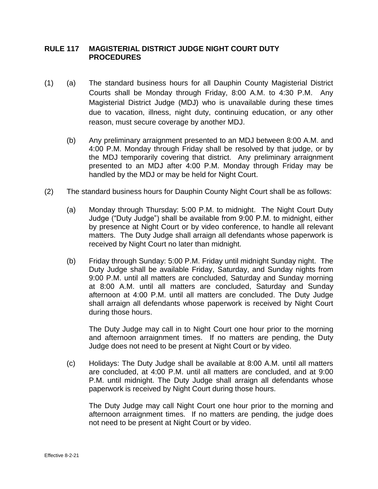## **RULE 117 MAGISTERIAL DISTRICT JUDGE NIGHT COURT DUTY PROCEDURES**

- (1) (a) The standard business hours for all Dauphin County Magisterial District Courts shall be Monday through Friday, 8:00 A.M. to 4:30 P.M. Any Magisterial District Judge (MDJ) who is unavailable during these times due to vacation, illness, night duty, continuing education, or any other reason, must secure coverage by another MDJ.
	- (b) Any preliminary arraignment presented to an MDJ between 8:00 A.M. and 4:00 P.M. Monday through Friday shall be resolved by that judge, or by the MDJ temporarily covering that district. Any preliminary arraignment presented to an MDJ after 4:00 P.M. Monday through Friday may be handled by the MDJ or may be held for Night Court.
- (2) The standard business hours for Dauphin County Night Court shall be as follows:
	- (a) Monday through Thursday: 5:00 P.M. to midnight. The Night Court Duty Judge ("Duty Judge") shall be available from 9:00 P.M. to midnight, either by presence at Night Court or by video conference, to handle all relevant matters. The Duty Judge shall arraign all defendants whose paperwork is received by Night Court no later than midnight.
	- (b) Friday through Sunday: 5:00 P.M. Friday until midnight Sunday night. The Duty Judge shall be available Friday, Saturday, and Sunday nights from 9:00 P.M. until all matters are concluded, Saturday and Sunday morning at 8:00 A.M. until all matters are concluded, Saturday and Sunday afternoon at 4:00 P.M. until all matters are concluded. The Duty Judge shall arraign all defendants whose paperwork is received by Night Court during those hours.

The Duty Judge may call in to Night Court one hour prior to the morning and afternoon arraignment times. If no matters are pending, the Duty Judge does not need to be present at Night Court or by video.

(c) Holidays: The Duty Judge shall be available at 8:00 A.M. until all matters are concluded, at 4:00 P.M. until all matters are concluded, and at 9:00 P.M. until midnight. The Duty Judge shall arraign all defendants whose paperwork is received by Night Court during those hours.

The Duty Judge may call Night Court one hour prior to the morning and afternoon arraignment times. If no matters are pending, the judge does not need to be present at Night Court or by video.